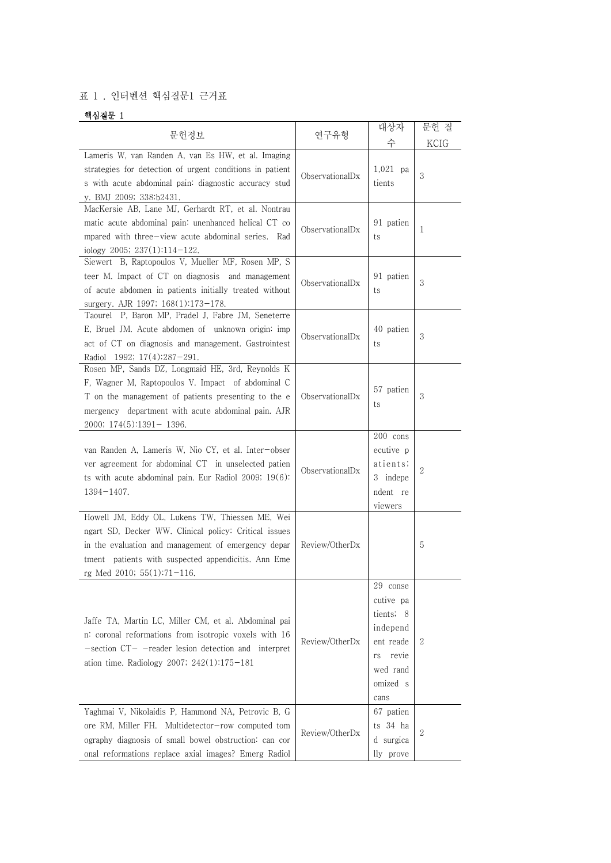## 표 1 . 인터벤션 핵심질문1 근거표

## 핵심질문 1

|                                                                                                                                                                                                                                                         |                 | 대상자                                                                                                        | 문헌 질 |
|---------------------------------------------------------------------------------------------------------------------------------------------------------------------------------------------------------------------------------------------------------|-----------------|------------------------------------------------------------------------------------------------------------|------|
| 문헌정보                                                                                                                                                                                                                                                    | 연구유형            | 수                                                                                                          | KCIG |
| Lameris W, van Randen A, van Es HW, et al. Imaging<br>strategies for detection of urgent conditions in patient<br>s with acute abdominal pain: diagnostic accuracy stud<br>y. BMJ 2009; 338:b2431.                                                      | ObservationalDx | $1,021$ pa<br>tients                                                                                       | 3    |
| MacKersie AB, Lane MJ, Gerhardt RT, et al. Nontrau<br>matic acute abdominal pain: unenhanced helical CT co<br>mpared with three-view acute abdominal series. Rad<br>iology 2005; $237(1):114-122$ .                                                     | ObservationalDx | 91 patien<br>ts                                                                                            | 1    |
| Siewert B, Raptopoulos V, Mueller MF, Rosen MP, S<br>teer M. Impact of CT on diagnosis and management<br>of acute abdomen in patients initially treated without<br>surgery. AJR 1997; 168(1):173-178.                                                   | ObservationalDx | 91 patien<br>ts                                                                                            | 3    |
| Taourel P, Baron MP, Pradel J, Fabre JM, Seneterre<br>E, Bruel JM. Acute abdomen of unknown origin: imp<br>act of CT on diagnosis and management. Gastrointest<br>Radiol 1992; 17(4):287-291.                                                           | ObservationalDx | 40 patien<br>ts                                                                                            | 3    |
| Rosen MP, Sands DZ, Longmaid HE, 3rd, Reynolds K<br>F, Wagner M, Raptopoulos V. Impact of abdominal C<br>T on the management of patients presenting to the e<br>mergency department with acute abdominal pain. AJR<br>$2000; 174(5):1391-1396.$         | ObservationalDx | 57 patien<br>ts                                                                                            | 3    |
| van Randen A, Lameris W, Nio CY, et al. Inter-obser<br>ver agreement for abdominal CT in unselected patien<br>ts with acute abdominal pain. Eur Radiol 2009; 19(6):<br>$1394 - 1407.$                                                                   | ObservationalDx | 200 cons<br>ecutive p<br>atients;<br>3 indepe<br>ndent re<br>viewers                                       | 2    |
| Howell JM, Eddy OL, Lukens TW, Thiessen ME, Wei<br>ngart SD, Decker WW. Clinical policy: Critical issues<br>in the evaluation and management of emergency depar<br>tment patients with suspected appendicitis. Ann Eme<br>rg Med 2010; $55(1):71-116$ . | Review/OtherDx  |                                                                                                            | 5    |
| Jaffe TA, Martin LC, Miller CM, et al. Abdominal pai<br>n: coronal reformations from isotropic voxels with 16<br>$-$ section $CT -$ reader lesion detection and interpret<br>ation time. Radiology 2007; $242(1):175-181$                               | Review/OtherDx  | 29 conse<br>cutive pa<br>tients; 8<br>independ<br>ent reade<br>revie<br>rs<br>wed rand<br>omized s<br>cans | 2    |
| Yaghmai V, Nikolaidis P, Hammond NA, Petrovic B, G<br>ore RM, Miller FH. Multidetector-row computed tom<br>ography diagnosis of small bowel obstruction: can cor<br>onal reformations replace axial images? Emerg Radiol                                | Review/OtherDx  | 67 patien<br>ts 34 ha<br>d surgica<br>lly prove                                                            | 2    |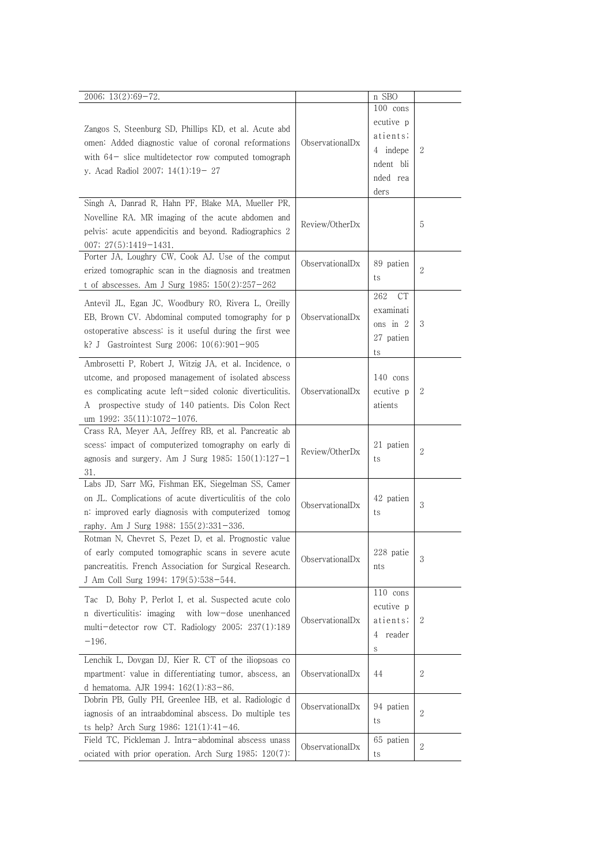| 2006; 13(2):69-72.                                                                                                                                                                                                                                                   |                 | n SBO                                                                          |              |
|----------------------------------------------------------------------------------------------------------------------------------------------------------------------------------------------------------------------------------------------------------------------|-----------------|--------------------------------------------------------------------------------|--------------|
| Zangos S, Steenburg SD, Phillips KD, et al. Acute abd<br>omen: Added diagnostic value of coronal reformations<br>with $64$ - slice multidetector row computed tomograph<br>y. Acad Radiol 2007; 14(1):19-27                                                          | ObservationalDx | 100 cons<br>ecutive p<br>atients;<br>4 indepe<br>ndent bli<br>nded rea<br>ders | $\mathbf{2}$ |
| Singh A, Danrad R, Hahn PF, Blake MA, Mueller PR,<br>Novelline RA. MR imaging of the acute abdomen and<br>pelvis: acute appendicitis and beyond. Radiographics 2<br>007; $27(5):1419-1431$ .                                                                         | Review/OtherDx  |                                                                                | 5            |
| Porter JA, Loughry CW, Cook AJ. Use of the comput<br>erized tomographic scan in the diagnosis and treatmen<br>t of abscesses. Am J Surg 1985; $150(2):257-262$                                                                                                       | ObservationalDx | 89 patien<br>ts                                                                | $\sqrt{2}$   |
| Antevil JL, Egan JC, Woodbury RO, Rivera L, Oreilly<br>EB, Brown CV. Abdominal computed tomography for p<br>ostoperative abscess: is it useful during the first wee<br>k? J Gastrointest Surg 2006; $10(6):901-905$                                                  | ObservationalDx | 262<br>СT<br>examinati<br>ons in $2$<br>27 patien<br>ts                        | 3            |
| Ambrosetti P, Robert J, Witzig JA, et al. Incidence, o<br>utcome, and proposed management of isolated abscess<br>es complicating acute left-sided colonic diverticulitis.<br>prospective study of 140 patients. Dis Colon Rect<br>А<br>um 1992; $35(11):1072-1076$ . | ObservationalDx | 140 cons<br>ecutive p<br>atients                                               | $\mathbf{2}$ |
| Crass RA, Meyer AA, Jeffrey RB, et al. Pancreatic ab<br>scess: impact of computerized tomography on early di<br>agnosis and surgery. Am J Surg 1985; $150(1):127-1$<br>31.                                                                                           | Review/OtherDx  | 21 patien<br>ts                                                                | $\sqrt{2}$   |
| Labs JD, Sarr MG, Fishman EK, Siegelman SS, Camer<br>on JL. Complications of acute diverticulitis of the colo<br>n: improved early diagnosis with computerized tomog<br>raphy. Am J Surg 1988; 155(2):331-336.                                                       | ObservationalDx | 42 patien<br>ts                                                                | 3            |
| Rotman N, Chevret S, Pezet D, et al. Prognostic value<br>of early computed tomographic scans in severe acute<br>pancreatitis. French Association for Surgical Research.<br>J Am Coll Surg 1994; 179(5):538-544.                                                      | ObservationalDx | 228 patie<br>nts                                                               | 3            |
| Tac D, Bohy P, Perlot I, et al. Suspected acute colo<br>n diverticulitis: imaging<br>with low-dose unenhanced<br>multi-detector row CT. Radiology 2005; 237(1):189<br>$-196.$                                                                                        | ObservationalDx | 110 cons<br>ecutive p<br>atients;<br>reader<br>4<br>S                          | 2            |
| Lenchik L, Dovgan DJ, Kier R. CT of the iliopsoas co<br>mpartment: value in differentiating tumor, abscess, an<br>d hematoma. AJR 1994; $162(1):83-86$ .                                                                                                             | ObservationalDx | 44                                                                             | 2            |
| Dobrin PB, Gully PH, Greenlee HB, et al. Radiologic d<br>iagnosis of an intraabdominal abscess. Do multiple tes<br>ts help? Arch Surg 1986; $121(1):41-46$ .                                                                                                         | ObservationalDx | 94 patien<br>ts                                                                | 2            |
| Field TC, Pickleman J. Intra-abdominal abscess unass<br>ociated with prior operation. Arch Surg 1985; 120(7):                                                                                                                                                        | ObservationalDx | 65 patien<br>ts                                                                | 2            |